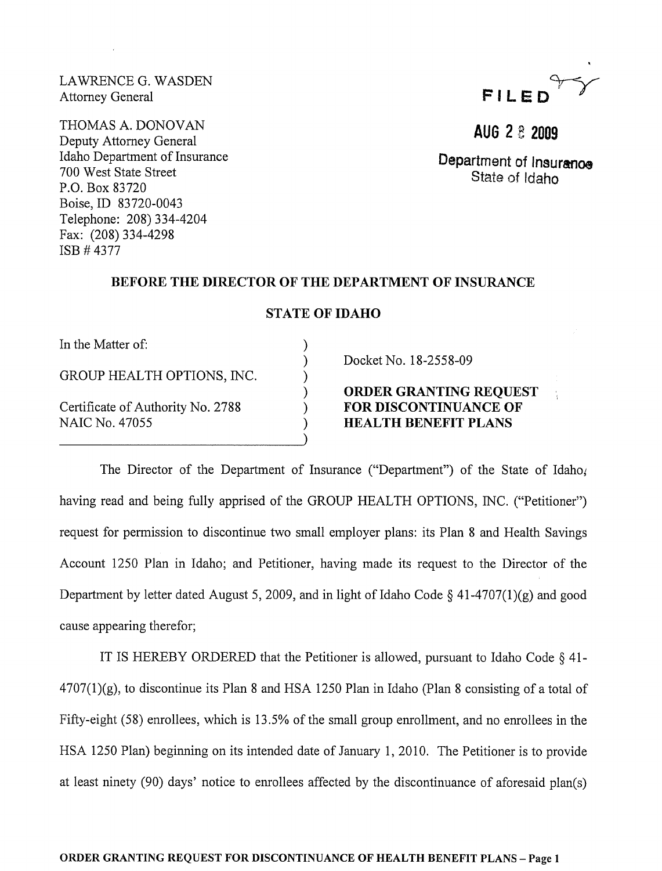LAWRENCE G. WASDEN Attorney General

THOMAS A. DONOVAN Deputy Attorney General Idaho Department of Insurance 700 West State Street P.O. Box 83720 Boise,ID 83720-0043 Telephone: 208) 334-4204 Fax: (208) 334-4298 ISB # 4377



**AUG 2 B 2009** 

Department of Insuranoe State of Idaho

#### BEFORE THE DIRECTOR OF THE DEPARTMENT OF INSURANCE

### STATE OF IDAHO

) ) ) ) ) ) )

In the Matter of:

GROUP HEALTH OPTIONS, INC.

Certificate of Authority No. 2788 NAIC No. 47055

### Docket No. 18-2558-09

# ORDER GRANTING REQUEST FOR DISCONTINUANCE OF HEALTH BENEFIT PLANS

The Director of the Department of Insurance ("Department") of the State of Idaho. having read and being fully apprised of the GROUP HEALTH OPTIONS, INC. ("Petitioner") request for permission to discontinue two small employer plans: its Plan 8 and Health Savings Account 1250 Plan in Idaho; and Petitioner, having made its request to the Director of the Department by letter dated August 5, 2009, and in light of Idaho Code  $\S$  41-4707(1)(g) and good cause appearing therefor;

IT IS HEREBY ORDERED that the Petitioner is allowed, pursuant to Idaho Code  $\S$  41- $4707(1)(g)$ , to discontinue its Plan 8 and HSA 1250 Plan in Idaho (Plan 8 consisting of a total of Fifty-eight (58) enrollees, which is 13.5% of the small group enrollment, and no enrollees in the HSA 1250 Plan) beginning on its intended date of January 1,2010. The Petitioner is to provide at least ninety  $(90)$  days' notice to enrollees affected by the discontinuance of aforesaid plan $(s)$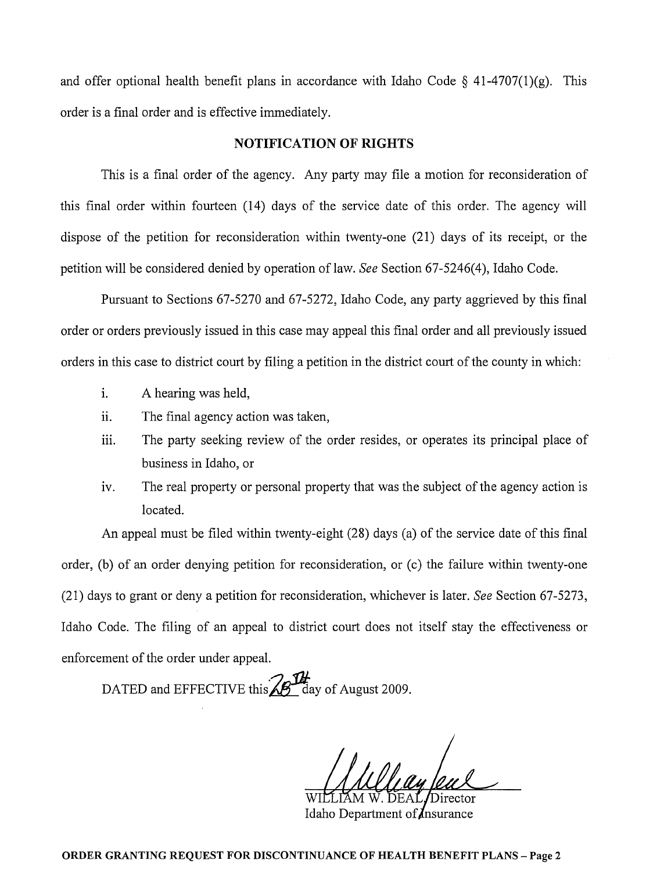and offer optional health benefit plans in accordance with Idaho Code  $\S$  41-4707(1)(g). This order is a final order and is effective immediately.

### NOTIFICATION OF RIGHTS

This is a final order of the agency. Any party may file a motion for reconsideration of this final order within fourteen (14) days of the service date of this order. The agency will dispose of the petition for reconsideration within twenty-one (21) days of its receipt, or the petition will be considered denied by operation of law. *See* Section 67-5246(4), Idaho Code.

Pursuant to Sections 67-5270 and 67-5272, Idaho Code, any party aggrieved by this final order or orders previously issued in this case may appeal this final order and all previously issued orders in this case to district court by filing a petition in the district court of the county in which:

- 1. A hearing was held,
- ii. The final agency action was taken,
- iii. The party seeking review of the order resides, or operates its principal place of business in Idaho, or
- iv. The real property or personal property that was the subject of the agency action is located.

An appeal must be filed within twenty-eight (28) days (a) of the service date of this final order, (b) of an order denying petition for reconsideration, or (c) the failure within twenty-one (21) days to grant or deny a petition for reconsideration, whichever is later. *See* Section 67-5273, Idaho Code. The filing of an appeal to district court does not itself stay the effectiveness or enforcement of the order under appeal.

DATED and EFFECTIVE this  $\mathbb{Z}$  day of August 2009.

WILLIAM W. DEAL/Director

Idaho Department of *Insurance*